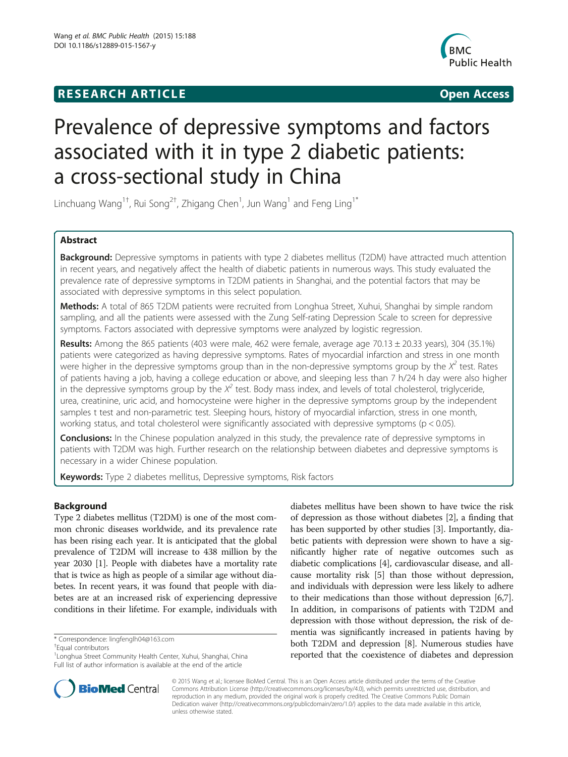## **RESEARCH ARTICLE Example 20 and 20 and 20 and 20 and 20 and 20 and 20 and 20 and 20 and 20 and 20 and 20 and 20 and 20 and 20 and 20 and 20 and 20 and 20 and 20 and 20 and 20 and 20 and 20 and 20 and 20 and 20 and 20 an**



# Prevalence of depressive symptoms and factors associated with it in type 2 diabetic patients: a cross-sectional study in China

Linchuang Wang $^{1\dagger}$ , Rui Song $^{2\dagger}$ , Zhigang Chen $^1$ , Jun Wang $^1$  and Feng Ling $^{1*}$ 

## Abstract

Background: Depressive symptoms in patients with type 2 diabetes mellitus (T2DM) have attracted much attention in recent years, and negatively affect the health of diabetic patients in numerous ways. This study evaluated the prevalence rate of depressive symptoms in T2DM patients in Shanghai, and the potential factors that may be associated with depressive symptoms in this select population.

Methods: A total of 865 T2DM patients were recruited from Longhua Street, Xuhui, Shanghai by simple random sampling, and all the patients were assessed with the Zung Self-rating Depression Scale to screen for depressive symptoms. Factors associated with depressive symptoms were analyzed by logistic regression.

Results: Among the 865 patients (403 were male, 462 were female, average age 70.13 ± 20.33 years), 304 (35.1%) patients were categorized as having depressive symptoms. Rates of myocardial infarction and stress in one month were higher in the depressive symptoms group than in the non-depressive symptoms group by the  $X^2$  test. Rates of patients having a job, having a college education or above, and sleeping less than 7 h/24 h day were also higher in the depressive symptoms group by the  $X^2$  test. Body mass index, and levels of total cholesterol, triglyceride, urea, creatinine, uric acid, and homocysteine were higher in the depressive symptoms group by the independent samples t test and non-parametric test. Sleeping hours, history of myocardial infarction, stress in one month, working status, and total cholesterol were significantly associated with depressive symptoms (p < 0.05).

**Conclusions:** In the Chinese population analyzed in this study, the prevalence rate of depressive symptoms in patients with T2DM was high. Further research on the relationship between diabetes and depressive symptoms is necessary in a wider Chinese population.

Keywords: Type 2 diabetes mellitus, Depressive symptoms, Risk factors

## Background

Type 2 diabetes mellitus (T2DM) is one of the most common chronic diseases worldwide, and its prevalence rate has been rising each year. It is anticipated that the global prevalence of T2DM will increase to 438 million by the year 2030 [\[1](#page-4-0)]. People with diabetes have a mortality rate that is twice as high as people of a similar age without diabetes. In recent years, it was found that people with diabetes are at an increased risk of experiencing depressive conditions in their lifetime. For example, individuals with

\* Correspondence: [lingfenglh04@163.com](mailto:lingfenglh04@163.com) †

Equal contributors

1 Longhua Street Community Health Center, Xuhui, Shanghai, China Full list of author information is available at the end of the article





© 2015 Wang et al.; licensee BioMed Central. This is an Open Access article distributed under the terms of the Creative Commons Attribution License [\(http://creativecommons.org/licenses/by/4.0\)](http://creativecommons.org/licenses/by/4.0), which permits unrestricted use, distribution, and reproduction in any medium, provided the original work is properly credited. The Creative Commons Public Domain Dedication waiver [\(http://creativecommons.org/publicdomain/zero/1.0/](http://creativecommons.org/publicdomain/zero/1.0/)) applies to the data made available in this article, unless otherwise stated.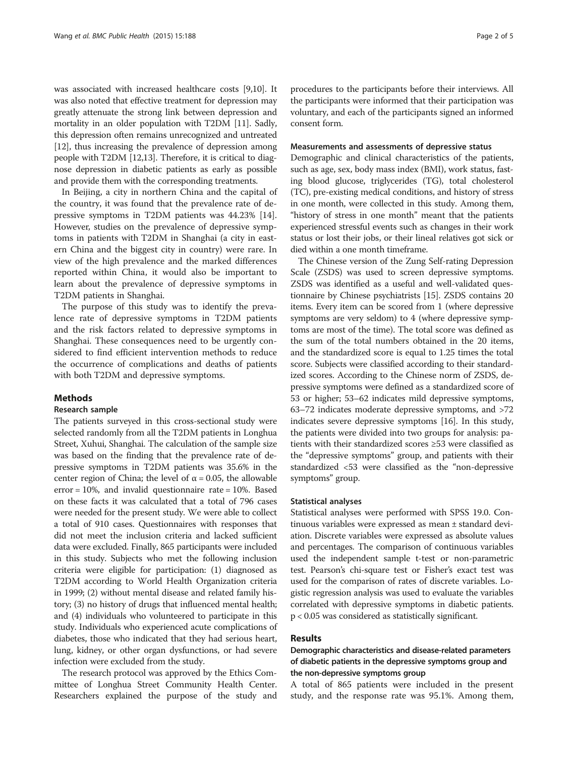was associated with increased healthcare costs [\[9,10\]](#page-4-0). It was also noted that effective treatment for depression may greatly attenuate the strong link between depression and mortality in an older population with T2DM [[11](#page-4-0)]. Sadly, this depression often remains unrecognized and untreated [[12](#page-4-0)], thus increasing the prevalence of depression among people with T2DM [[12,13](#page-4-0)]. Therefore, it is critical to diagnose depression in diabetic patients as early as possible and provide them with the corresponding treatments.

In Beijing, a city in northern China and the capital of the country, it was found that the prevalence rate of depressive symptoms in T2DM patients was 44.23% [\[14](#page-4-0)]. However, studies on the prevalence of depressive symptoms in patients with T2DM in Shanghai (a city in eastern China and the biggest city in country) were rare. In view of the high prevalence and the marked differences reported within China, it would also be important to learn about the prevalence of depressive symptoms in T2DM patients in Shanghai.

The purpose of this study was to identify the prevalence rate of depressive symptoms in T2DM patients and the risk factors related to depressive symptoms in Shanghai. These consequences need to be urgently considered to find efficient intervention methods to reduce the occurrence of complications and deaths of patients with both T2DM and depressive symptoms.

## Methods

## Research sample

The patients surveyed in this cross-sectional study were selected randomly from all the T2DM patients in Longhua Street, Xuhui, Shanghai. The calculation of the sample size was based on the finding that the prevalence rate of depressive symptoms in T2DM patients was 35.6% in the center region of China; the level of  $\alpha$  = 0.05, the allowable error =  $10\%$ , and invalid questionnaire rate =  $10\%$ . Based on these facts it was calculated that a total of 796 cases were needed for the present study. We were able to collect a total of 910 cases. Questionnaires with responses that did not meet the inclusion criteria and lacked sufficient data were excluded. Finally, 865 participants were included in this study. Subjects who met the following inclusion criteria were eligible for participation: (1) diagnosed as T2DM according to World Health Organization criteria in 1999; (2) without mental disease and related family history; (3) no history of drugs that influenced mental health; and (4) individuals who volunteered to participate in this study. Individuals who experienced acute complications of diabetes, those who indicated that they had serious heart, lung, kidney, or other organ dysfunctions, or had severe infection were excluded from the study.

The research protocol was approved by the Ethics Committee of Longhua Street Community Health Center. Researchers explained the purpose of the study and

procedures to the participants before their interviews. All the participants were informed that their participation was voluntary, and each of the participants signed an informed consent form.

## Measurements and assessments of depressive status

Demographic and clinical characteristics of the patients, such as age, sex, body mass index (BMI), work status, fasting blood glucose, triglycerides (TG), total cholesterol (TC), pre-existing medical conditions, and history of stress in one month, were collected in this study. Among them, "history of stress in one month" meant that the patients experienced stressful events such as changes in their work status or lost their jobs, or their lineal relatives got sick or died within a one month timeframe.

The Chinese version of the Zung Self-rating Depression Scale (ZSDS) was used to screen depressive symptoms. ZSDS was identified as a useful and well-validated questionnaire by Chinese psychiatrists [\[15\]](#page-4-0). ZSDS contains 20 items. Every item can be scored from 1 (where depressive symptoms are very seldom) to 4 (where depressive symptoms are most of the time). The total score was defined as the sum of the total numbers obtained in the 20 items, and the standardized score is equal to 1.25 times the total score. Subjects were classified according to their standardized scores. According to the Chinese norm of ZSDS, depressive symptoms were defined as a standardized score of 53 or higher; 53–62 indicates mild depressive symptoms, 63–72 indicates moderate depressive symptoms, and >72 indicates severe depressive symptoms [\[16](#page-4-0)]. In this study, the patients were divided into two groups for analysis: patients with their standardized scores ≥53 were classified as the "depressive symptoms" group, and patients with their standardized <53 were classified as the "non-depressive symptoms" group.

## Statistical analyses

Statistical analyses were performed with SPSS 19.0. Continuous variables were expressed as mean ± standard deviation. Discrete variables were expressed as absolute values and percentages. The comparison of continuous variables used the independent sample t-test or non-parametric test. Pearson's chi-square test or Fisher's exact test was used for the comparison of rates of discrete variables. Logistic regression analysis was used to evaluate the variables correlated with depressive symptoms in diabetic patients. p < 0.05 was considered as statistically significant.

## Results

## Demographic characteristics and disease-related parameters of diabetic patients in the depressive symptoms group and the non-depressive symptoms group

A total of 865 patients were included in the present study, and the response rate was 95.1%. Among them,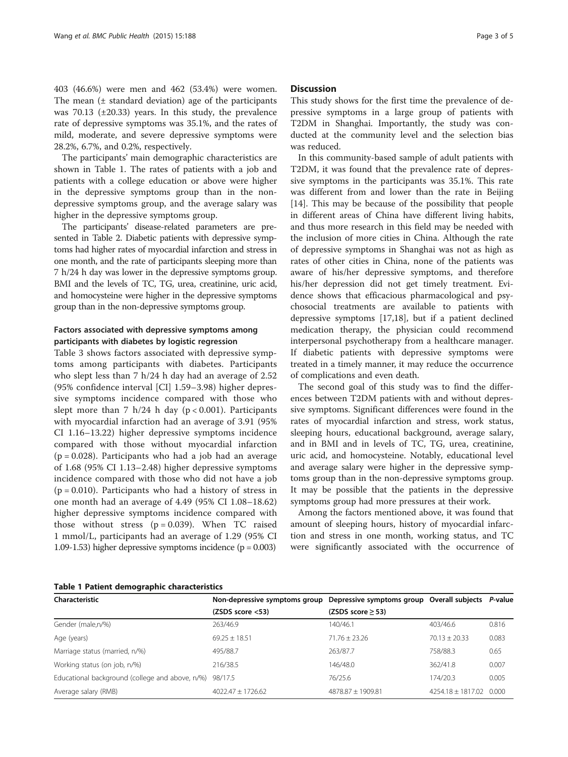403 (46.6%) were men and 462 (53.4%) were women. The mean  $(±$  standard deviation) age of the participants was  $70.13$  ( $\pm 20.33$ ) years. In this study, the prevalence rate of depressive symptoms was 35.1%, and the rates of mild, moderate, and severe depressive symptoms were 28.2%, 6.7%, and 0.2%, respectively.

The participants' main demographic characteristics are shown in Table 1. The rates of patients with a job and patients with a college education or above were higher in the depressive symptoms group than in the nondepressive symptoms group, and the average salary was higher in the depressive symptoms group.

The participants' disease-related parameters are presented in Table [2](#page-3-0). Diabetic patients with depressive symptoms had higher rates of myocardial infarction and stress in one month, and the rate of participants sleeping more than 7 h/24 h day was lower in the depressive symptoms group. BMI and the levels of TC, TG, urea, creatinine, uric acid, and homocysteine were higher in the depressive symptoms group than in the non-depressive symptoms group.

## Factors associated with depressive symptoms among participants with diabetes by logistic regression

Table [3](#page-3-0) shows factors associated with depressive symptoms among participants with diabetes. Participants who slept less than 7 h/24 h day had an average of 2.52 (95% confidence interval [CI] 1.59–3.98) higher depressive symptoms incidence compared with those who slept more than 7 h/24 h day ( $p < 0.001$ ). Participants with myocardial infarction had an average of 3.91 (95% CI 1.16–13.22) higher depressive symptoms incidence compared with those without myocardial infarction  $(p = 0.028)$ . Participants who had a job had an average of 1.68 (95% CI 1.13–2.48) higher depressive symptoms incidence compared with those who did not have a job  $(p = 0.010)$ . Participants who had a history of stress in one month had an average of 4.49 (95% CI 1.08–18.62) higher depressive symptoms incidence compared with those without stress  $(p = 0.039)$ . When TC raised 1 mmol/L, participants had an average of 1.29 (95% CI 1.09-1.53) higher depressive symptoms incidence  $(p = 0.003)$ 

## **Discussion**

This study shows for the first time the prevalence of depressive symptoms in a large group of patients with T2DM in Shanghai. Importantly, the study was conducted at the community level and the selection bias was reduced.

In this community-based sample of adult patients with T2DM, it was found that the prevalence rate of depressive symptoms in the participants was 35.1%. This rate was different from and lower than the rate in Beijing [[14\]](#page-4-0). This may be because of the possibility that people in different areas of China have different living habits, and thus more research in this field may be needed with the inclusion of more cities in China. Although the rate of depressive symptoms in Shanghai was not as high as rates of other cities in China, none of the patients was aware of his/her depressive symptoms, and therefore his/her depression did not get timely treatment. Evidence shows that efficacious pharmacological and psychosocial treatments are available to patients with depressive symptoms [\[17,18](#page-4-0)], but if a patient declined medication therapy, the physician could recommend interpersonal psychotherapy from a healthcare manager. If diabetic patients with depressive symptoms were treated in a timely manner, it may reduce the occurrence of complications and even death.

The second goal of this study was to find the differences between T2DM patients with and without depressive symptoms. Significant differences were found in the rates of myocardial infarction and stress, work status, sleeping hours, educational background, average salary, and in BMI and in levels of TC, TG, urea, creatinine, uric acid, and homocysteine. Notably, educational level and average salary were higher in the depressive symptoms group than in the non-depressive symptoms group. It may be possible that the patients in the depressive symptoms group had more pressures at their work.

Among the factors mentioned above, it was found that amount of sleeping hours, history of myocardial infarction and stress in one month, working status, and TC were significantly associated with the occurrence of

| Characteristic                                  | Non-depressive symptoms group Depressive symptoms group Overall subjects P-value |                        |                       |       |
|-------------------------------------------------|----------------------------------------------------------------------------------|------------------------|-----------------------|-------|
|                                                 | (ZSDS score <53)                                                                 | (ZSDS score $\geq$ 53) |                       |       |
| Gender (male,n/%)                               | 263/46.9                                                                         | 140/46.1               | 403/46.6              | 0.816 |
| Age (years)                                     | $69.25 + 18.51$                                                                  | $71.76 + 23.26$        | $70.13 + 20.33$       | 0.083 |
| Marriage status (married, n/%)                  | 495/88.7                                                                         | 263/87.7               | 758/88.3              | 0.65  |
| Working status (on job, n/%)                    | 216/38.5                                                                         | 146/48.0               | 362/41.8              | 0.007 |
| Educational background (college and above, n/%) | 98/17.5                                                                          | 76/25.6                | 174/20.3              | 0.005 |
| Average salary (RMB)                            | $4022.47 \pm 1726.62$                                                            | 4878.87 ± 1909.81      | $4254.18 \pm 1817.02$ | 0.000 |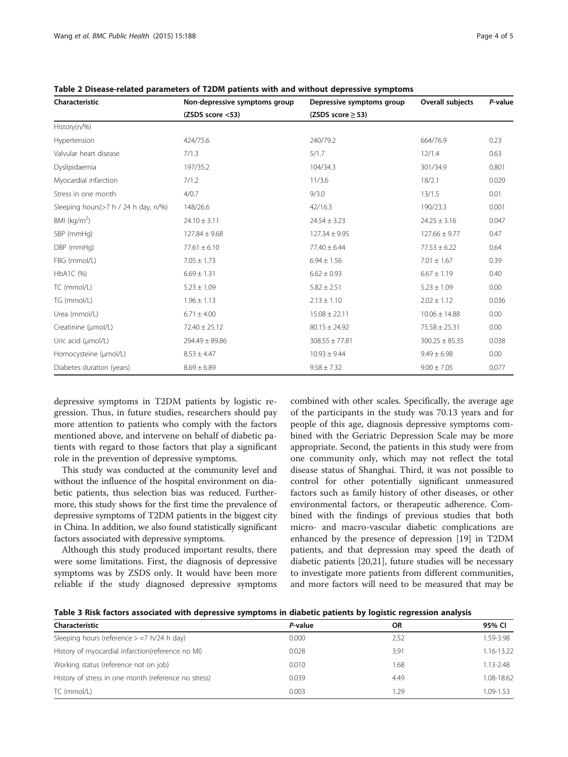| Characteristic                       | Non-depressive symptoms group | Depressive symptoms group | Overall subjects   | P-value |
|--------------------------------------|-------------------------------|---------------------------|--------------------|---------|
|                                      | (ZSDS score <53)              | (ZSDS score $\geq$ 53)    |                    |         |
| History(n/%)                         |                               |                           |                    |         |
| Hypertension                         | 424/75.6                      | 240/79.2                  | 664/76.9           | 0.23    |
| Valvular heart disease               | 7/1.3                         | 5/1.7                     | 12/1.4             | 0.63    |
| Dyslipidaemia                        | 197/35.2                      | 104/34.3                  | 301/34.9           | 0.801   |
| Myocardial infarction                | 7/1.2                         | 11/3.6                    | 18/2.1             | 0.020   |
| Stress in one month                  | 4/0.7                         | 9/3.0                     | 13/1.5             | 0.01    |
| Sleeping hours(>7 h / 24 h day, n/%) | 148/26.6                      | 42/16.3                   | 190/23.3           | 0.001   |
| BMI ( $\text{kg/m}^2$ )              | $24.10 \pm 3.11$              | $24.54 \pm 3.23$          | $24.25 \pm 3.16$   | 0.047   |
| SBP (mmHg)                           | $127.84 \pm 9.68$             | $127.34 \pm 9.95$         | $127.66 \pm 9.77$  | 0.47    |
| DBP (mmHg)                           | $77.61 \pm 6.10$              | $77.40 \pm 6.44$          | $77.53 \pm 6.22$   | 0.64    |
| FBG (mmol/L)                         | $7.05 \pm 1.73$               | $6.94 \pm 1.56$           | $7.01 \pm 1.67$    | 0.39    |
| $HbA1C$ (%)                          | $6.69 \pm 1.31$               | $6.62 \pm 0.93$           | $6.67 \pm 1.19$    | 0.40    |
| TC (mmol/L)                          | $5.23 \pm 1.09$               | $5.82 \pm 2.51$           | $5.23 \pm 1.09$    | 0.00    |
| TG (mmol/L)                          | $1.96 \pm 1.13$               | $2.13 \pm 1.10$           | $2.02 \pm 1.12$    | 0.036   |
| Urea (mmol/L)                        | $6.71 \pm 4.00$               | $15.08 \pm 22.11$         | $10.06 \pm 14.88$  | 0.00    |
| Creatinine (µmol/L)                  | $72.40 \pm 25.12$             | $80.15 \pm 24.92$         | $75.58 \pm 25.31$  | 0.00    |
| Uric acid (umol/L)                   | $294.49 \pm 89.86$            | $308.55 \pm 77.81$        | $300.25 \pm 85.35$ | 0.038   |
| Homocysteine (µmol/L)                | $8.53 \pm 4.47$               | $10.93 \pm 9.44$          | $9.49 \pm 6.98$    | 0.00    |
| Diabetes duration (years)            | $8.69 \pm 6.89$               | $9.58 \pm 7.32$           | $9.00 \pm 7.05$    | 0.077   |

<span id="page-3-0"></span>Table 2 Disease-related parameters of T2DM patients with and without depressive symptoms

depressive symptoms in T2DM patients by logistic regression. Thus, in future studies, researchers should pay more attention to patients who comply with the factors mentioned above, and intervene on behalf of diabetic patients with regard to those factors that play a significant role in the prevention of depressive symptoms.

This study was conducted at the community level and without the influence of the hospital environment on diabetic patients, thus selection bias was reduced. Furthermore, this study shows for the first time the prevalence of depressive symptoms of T2DM patients in the biggest city in China. In addition, we also found statistically significant factors associated with depressive symptoms.

Although this study produced important results, there were some limitations. First, the diagnosis of depressive symptoms was by ZSDS only. It would have been more reliable if the study diagnosed depressive symptoms combined with other scales. Specifically, the average age of the participants in the study was 70.13 years and for people of this age, diagnosis depressive symptoms combined with the Geriatric Depression Scale may be more appropriate. Second, the patients in this study were from one community only, which may not reflect the total disease status of Shanghai. Third, it was not possible to control for other potentially significant unmeasured factors such as family history of other diseases, or other environmental factors, or therapeutic adherence. Combined with the findings of previous studies that both micro- and macro-vascular diabetic complications are enhanced by the presence of depression [[19](#page-4-0)] in T2DM patients, and that depression may speed the death of diabetic patients [[20,21](#page-4-0)], future studies will be necessary to investigate more patients from different communities, and more factors will need to be measured that may be

Table 3 Risk factors associated with depressive symptoms in diabetic patients by logistic regression analysis

| Characteristic                                       | P-value | ΟR   | 95% CI        |
|------------------------------------------------------|---------|------|---------------|
| Sleeping hours (reference $> = 7$ h/24 h day)        | 0.000   | 2.52 | 1.59-3.98     |
| History of myocardial infarction(reference no MI)    | 0.028   | 3.91 | 1.16-13.22    |
| Working status (reference not on job)                | 0.010   | 1.68 | $1.13 - 2.48$ |
| History of stress in one month (reference no stress) | 0.039   | 4.49 | 1.08-18.62    |
| TC (mmol/L)                                          | 0.003   | 1.29 | 1.09-1.53     |